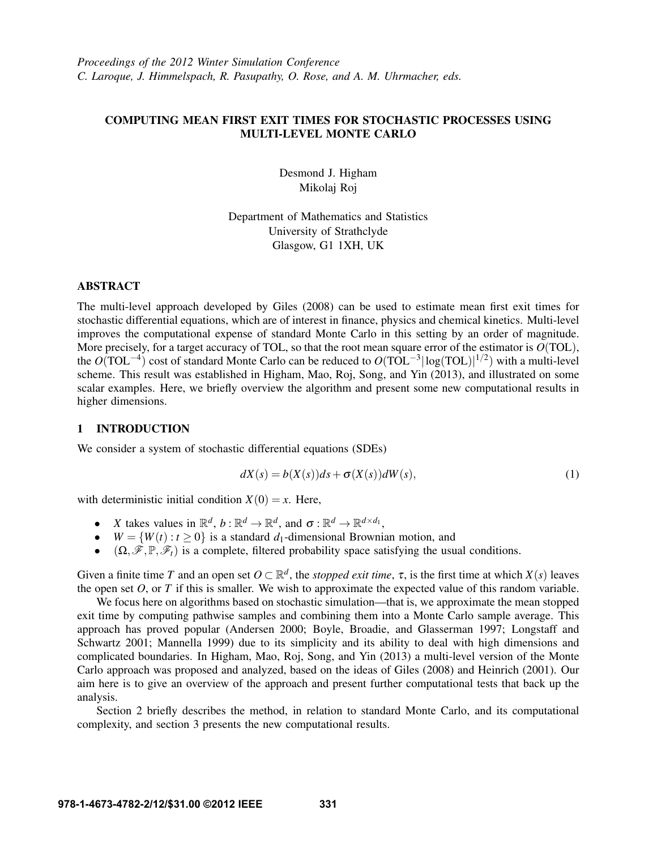# COMPUTING MEAN FIRST EXIT TIMES FOR STOCHASTIC PROCESSES USING MULTI-LEVEL MONTE CARLO

Desmond J. Higham Mikolaj Roj

Department of Mathematics and Statistics University of Strathclyde Glasgow, G1 1XH, UK

### ABSTRACT

The multi-level approach developed by Giles (2008) can be used to estimate mean first exit times for stochastic differential equations, which are of interest in finance, physics and chemical kinetics. Multi-level improves the computational expense of standard Monte Carlo in this setting by an order of magnitude. More precisely, for a target accuracy of TOL, so that the root mean square error of the estimator is *O*(TOL), the  $O(TOL^{-4})$  cost of standard Monte Carlo can be reduced to  $O(TOL^{-3}|\log(TOL)|^{1/2})$  with a multi-level scheme. This result was established in Higham, Mao, Roj, Song, and Yin (2013), and illustrated on some scalar examples. Here, we briefly overview the algorithm and present some new computational results in higher dimensions.

# 1 INTRODUCTION

We consider a system of stochastic differential equations (SDEs)

$$
dX(s) = b(X(s))ds + \sigma(X(s))dW(s),
$$
\n(1)

with deterministic initial condition  $X(0) = x$ . Here,

- *X* takes values in  $\mathbb{R}^d$ ,  $b : \mathbb{R}^d \to \mathbb{R}^d$ , and  $\sigma : \mathbb{R}^d \to \mathbb{R}^{d \times d_1}$ ,
- $W = \{W(t) : t > 0\}$  is a standard *d*<sub>1</sub>-dimensional Brownian motion, and
- $(\Omega, \mathscr{F}, \mathbb{P}, \mathscr{F}_t)$  is a complete, filtered probability space satisfying the usual conditions.

Given a finite time *T* and an open set  $O \subset \mathbb{R}^d$ , the *stopped exit time*,  $\tau$ , is the first time at which  $X(s)$  leaves the open set  $O$ , or  $T$  if this is smaller. We wish to approximate the expected value of this random variable.

We focus here on algorithms based on stochastic simulation—that is, we approximate the mean stopped exit time by computing pathwise samples and combining them into a Monte Carlo sample average. This approach has proved popular (Andersen 2000; Boyle, Broadie, and Glasserman 1997; Longstaff and Schwartz 2001; Mannella 1999) due to its simplicity and its ability to deal with high dimensions and complicated boundaries. In Higham, Mao, Roj, Song, and Yin (2013) a multi-level version of the Monte Carlo approach was proposed and analyzed, based on the ideas of Giles (2008) and Heinrich (2001). Our aim here is to give an overview of the approach and present further computational tests that back up the analysis.

Section 2 briefly describes the method, in relation to standard Monte Carlo, and its computational complexity, and section 3 presents the new computational results.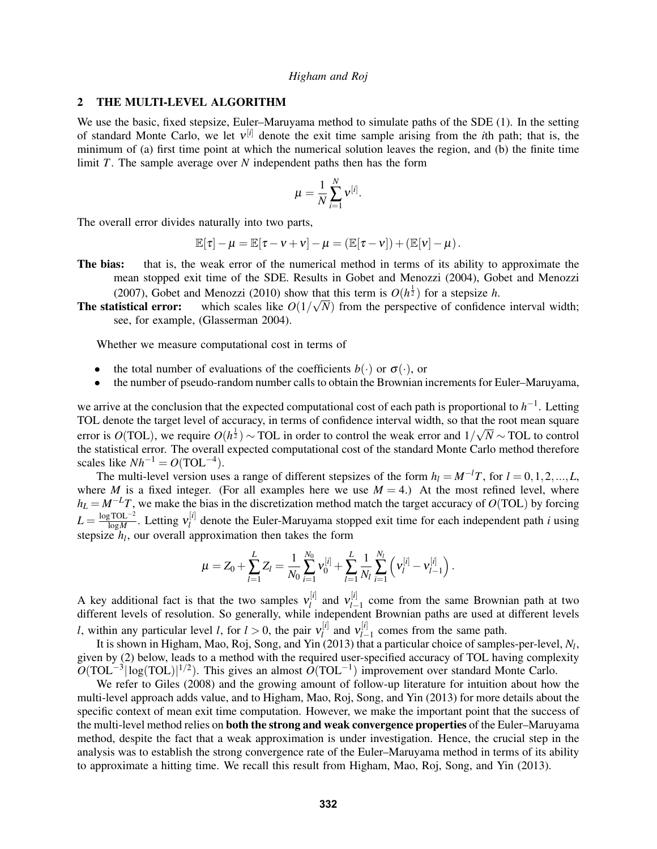### 2 THE MULTI-LEVEL ALGORITHM

We use the basic, fixed stepsize, Euler–Maruyama method to simulate paths of the SDE (1). In the setting of standard Monte Carlo, we let ν [*i*] denote the exit time sample arising from the *i*th path; that is, the minimum of (a) first time point at which the numerical solution leaves the region, and (b) the finite time limit *T*. The sample average over *N* independent paths then has the form

$$
\mu = \frac{1}{N}\sum_{i=1}^N \mathsf{v}^{[i]}.
$$

The overall error divides naturally into two parts,

$$
\mathbb{E}[\tau] - \mu = \mathbb{E}[\tau - \nu + \nu] - \mu = (\mathbb{E}[\tau - \nu]) + (\mathbb{E}[\nu] - \mu).
$$

- The bias: that is, the weak error of the numerical method in terms of its ability to approximate the mean stopped exit time of the SDE. Results in Gobet and Menozzi (2004), Gobet and Menozzi (2007), Gobet and Menozzi (2010) show that this term is  $O(h^{\frac{1}{2}})$  for a stepsize *h*.
- **The statistical error:** which scales like  $O(1/\sqrt{N})$  from the perspective of confidence interval width; see, for example, (Glasserman 2004).

Whether we measure computational cost in terms of

- the total number of evaluations of the coefficients  $b(\cdot)$  or  $\sigma(\cdot)$ , or
- the number of pseudo-random number calls to obtain the Brownian increments for Euler–Maruyama,

we arrive at the conclusion that the expected computational cost of each path is proportional to *h*<sup>-1</sup>. Letting TOL denote the target level of accuracy, in terms of confidence interval width, so that the root mean square error is  $O(TOL)$ , we require  $O(h^{\frac{1}{2}}) \sim TOL$  in order to control the weak error and 1/ √ *N* ∼ TOL to control the statistical error. The overall expected computational cost of the standard Monte Carlo method therefore scales like  $Nh^{-1} = O(TOL^{-4})$ .

The multi-level version uses a range of different stepsizes of the form  $h_l = M^{-l}T$ , for  $l = 0, 1, 2, ..., L$ , where *M* is a fixed integer. (For all examples here we use  $M = 4$ .) At the most refined level, where  $h_L = M^{-L}T$ , we make the bias in the discretization method match the target accuracy of *O*(TOL) by forcing  $L = \frac{\log TOL^{-2}}{\log M}$  $\frac{\log TOL^{-2}}{\log M}$ . Letting  $v_l^{[i]}$  $\frac{d}{dt}$  denote the Euler-Maruyama stopped exit time for each independent path *i* using stepsize *h<sup>l</sup>* , our overall approximation then takes the form

$$
\mu = Z_0 + \sum_{l=1}^{L} Z_l = \frac{1}{N_0} \sum_{i=1}^{N_0} v_0^{[i]} + \sum_{l=1}^{L} \frac{1}{N_l} \sum_{i=1}^{N_l} \left( v_l^{[i]} - v_{l-1}^{[i]} \right).
$$

A key additional fact is that the two samples  $v_l^{[i]}$  $v_l^{[i]}$  and  $v_{l-}^{[i]}$ *l*−1 come from the same Brownian path at two different levels of resolution. So generally, while independent Brownian paths are used at different levels *l*, within any particular level *l*, for  $l > 0$ , the pair  $v_l^{[i]}$  $\mathbf{v}_l^{[i]}$  and  $\mathbf{v}_{l-}^{[i]}$  $\frac{u_1}{l-1}$  comes from the same path.

It is shown in Higham, Mao, Roj, Song, and Yin (2013) that a particular choice of samples-per-level, *N<sup>l</sup>* , given by (2) below, leads to a method with the required user-specified accuracy of TOL having complexity  $O(TOL^{-3}|\log(TOL)|^{1/2})$ . This gives an almost  $O(TOL^{-1})$  improvement over standard Monte Carlo.

We refer to Giles (2008) and the growing amount of follow-up literature for intuition about how the multi-level approach adds value, and to Higham, Mao, Roj, Song, and Yin (2013) for more details about the specific context of mean exit time computation. However, we make the important point that the success of the multi-level method relies on both the strong and weak convergence properties of the Euler–Maruyama method, despite the fact that a weak approximation is under investigation. Hence, the crucial step in the analysis was to establish the strong convergence rate of the Euler–Maruyama method in terms of its ability to approximate a hitting time. We recall this result from Higham, Mao, Roj, Song, and Yin (2013).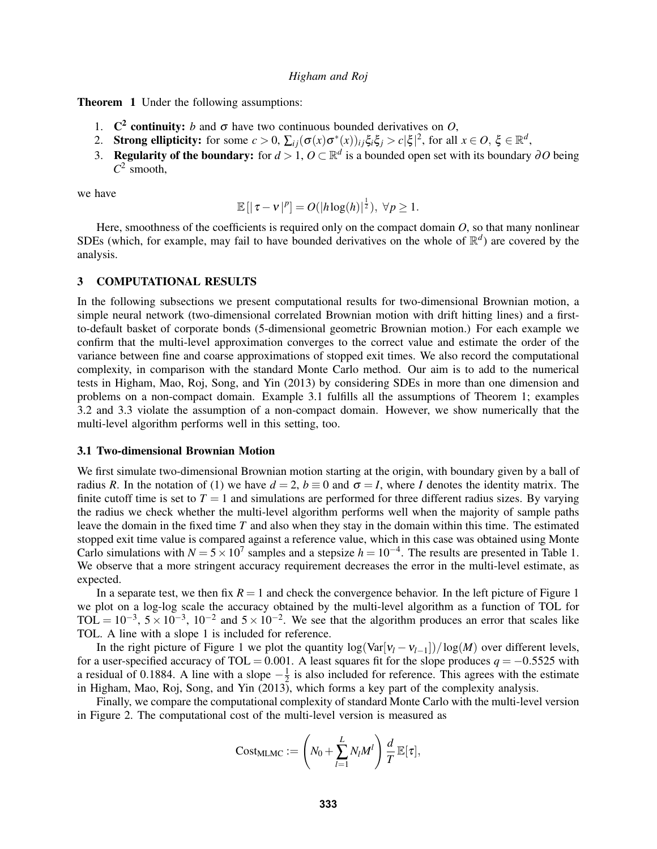Theorem 1 Under the following assumptions:

- 1.  $\mathbb{C}^2$  continuity: *b* and  $\sigma$  have two continuous bounded derivatives on *O*,
- 2. Strong ellipticity: for some  $c > 0$ ,  $\sum_{ij}(\sigma(x)\sigma^*(x))_{ij}\xi_i\xi_j > c|\xi|^2$ , for all  $x \in O$ ,  $\xi \in \mathbb{R}^d$ ,
- 3. Regularity of the boundary: for  $d > 1$ ,  $O \subset \mathbb{R}^d$  is a bounded open set with its boundary  $\partial O$  being  $C^2$  smooth,

we have

$$
\mathbb{E} [|\tau - v|^p] = O(|h \log(h)|^{\frac{1}{2}}), \ \forall p \ge 1.
$$

Here, smoothness of the coefficients is required only on the compact domain *O*, so that many nonlinear SDEs (which, for example, may fail to have bounded derivatives on the whole of  $\mathbb{R}^d$ ) are covered by the analysis.

#### 3 COMPUTATIONAL RESULTS

In the following subsections we present computational results for two-dimensional Brownian motion, a simple neural network (two-dimensional correlated Brownian motion with drift hitting lines) and a firstto-default basket of corporate bonds (5-dimensional geometric Brownian motion.) For each example we confirm that the multi-level approximation converges to the correct value and estimate the order of the variance between fine and coarse approximations of stopped exit times. We also record the computational complexity, in comparison with the standard Monte Carlo method. Our aim is to add to the numerical tests in Higham, Mao, Roj, Song, and Yin (2013) by considering SDEs in more than one dimension and problems on a non-compact domain. Example 3.1 fulfills all the assumptions of Theorem 1; examples 3.2 and 3.3 violate the assumption of a non-compact domain. However, we show numerically that the multi-level algorithm performs well in this setting, too.

#### 3.1 Two-dimensional Brownian Motion

We first simulate two-dimensional Brownian motion starting at the origin, with boundary given by a ball of radius *R*. In the notation of (1) we have  $d = 2$ ,  $b \equiv 0$  and  $\sigma = I$ , where *I* denotes the identity matrix. The finite cutoff time is set to  $T = 1$  and simulations are performed for three different radius sizes. By varying the radius we check whether the multi-level algorithm performs well when the majority of sample paths leave the domain in the fixed time *T* and also when they stay in the domain within this time. The estimated stopped exit time value is compared against a reference value, which in this case was obtained using Monte Carlo simulations with  $N = 5 \times 10^7$  samples and a stepsize  $h = 10^{-4}$ . The results are presented in Table 1. We observe that a more stringent accuracy requirement decreases the error in the multi-level estimate, as expected.

In a separate test, we then fix  $R = 1$  and check the convergence behavior. In the left picture of Figure 1 we plot on a log-log scale the accuracy obtained by the multi-level algorithm as a function of TOL for TOL =  $10^{-3}$ ,  $5 \times 10^{-3}$ ,  $10^{-2}$  and  $5 \times 10^{-2}$ . We see that the algorithm produces an error that scales like TOL. A line with a slope 1 is included for reference.

In the right picture of Figure 1 we plot the quantity  $\log(\text{Var}[v_l - v_{l-1}])/\log(M)$  over different levels, for a user-specified accuracy of TOL = 0.001. A least squares fit for the slope produces  $q = -0.5525$  with a residual of 0.1884. A line with a slope  $-\frac{1}{2}$  $\frac{1}{2}$  is also included for reference. This agrees with the estimate in Higham, Mao, Roj, Song, and Yin (2013), which forms a key part of the complexity analysis.

Finally, we compare the computational complexity of standard Monte Carlo with the multi-level version in Figure 2. The computational cost of the multi-level version is measured as

$$
Cost_{MLMC} := \left(N_0 + \sum_{l=1}^{L} N_l M^l\right) \frac{d}{T} \mathbb{E}[\tau],
$$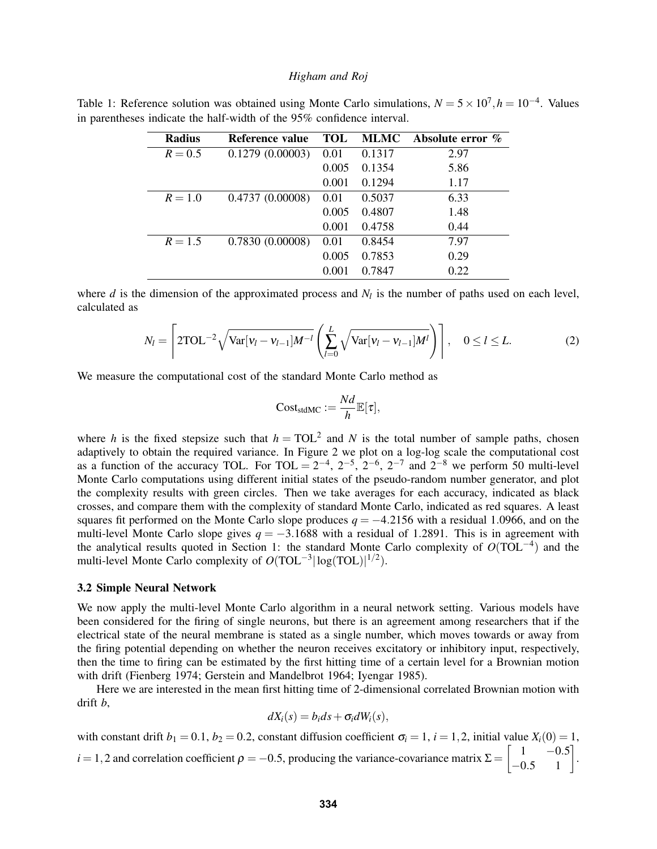| <b>Radius</b> | Reference value | TOL   | <b>MLMC</b> | Absolute error $\%$ |
|---------------|-----------------|-------|-------------|---------------------|
| $R = 0.5$     | 0.1279(0.00003) | 0.01  | 0.1317      | 2.97                |
|               |                 | 0.005 | 0.1354      | 5.86                |
|               |                 | 0.001 | 0.1294      | 1.17                |
| $R = 1.0$     | 0.4737(0.00008) | 0.01  | 0.5037      | 6.33                |
|               |                 | 0.005 | 0.4807      | 1.48                |
|               |                 | 0.001 | 0.4758      | 0.44                |
| $R = 1.5$     | 0.7830(0.00008) | 0.01  | 0.8454      | 7.97                |
|               |                 | 0.005 | 0.7853      | 0.29                |
|               |                 | 0.001 | 0.7847      | 0.22                |

Table 1: Reference solution was obtained using Monte Carlo simulations,  $N = 5 \times 10^7$ ,  $h = 10^{-4}$ . Values in parentheses indicate the half-width of the 95% confidence interval.

where  $d$  is the dimension of the approximated process and  $N_l$  is the number of paths used on each level, calculated as

$$
N_l = \left[2\text{TOL}^{-2}\sqrt{\text{Var}[v_l - v_{l-1}]\mathbf{M}^{-l}}\left(\sum_{l=0}^{L} \sqrt{\text{Var}[v_l - v_{l-1}]\mathbf{M}^l}\right)\right], \quad 0 \le l \le L. \tag{2}
$$

We measure the computational cost of the standard Monte Carlo method as

$$
Cost_{stdMC} := \frac{Nd}{h}\mathbb{E}[\tau],
$$

where *h* is the fixed stepsize such that  $h = TOL^2$  and *N* is the total number of sample paths, chosen adaptively to obtain the required variance. In Figure 2 we plot on a log-log scale the computational cost as a function of the accuracy TOL. For TOL =  $2^{-4}$ ,  $2^{-5}$ ,  $2^{-6}$ ,  $2^{-7}$  and  $2^{-8}$  we perform 50 multi-level Monte Carlo computations using different initial states of the pseudo-random number generator, and plot the complexity results with green circles. Then we take averages for each accuracy, indicated as black crosses, and compare them with the complexity of standard Monte Carlo, indicated as red squares. A least squares fit performed on the Monte Carlo slope produces  $q = -4.2156$  with a residual 1.0966, and on the multi-level Monte Carlo slope gives  $q = -3.1688$  with a residual of 1.2891. This is in agreement with the analytical results quoted in Section 1: the standard Monte Carlo complexity of *O*(TOL−<sup>4</sup> ) and the multi-level Monte Carlo complexity of  $O(TOL^{-3}|\log(TOL)|^{1/2})$ .

#### 3.2 Simple Neural Network

We now apply the multi-level Monte Carlo algorithm in a neural network setting. Various models have been considered for the firing of single neurons, but there is an agreement among researchers that if the electrical state of the neural membrane is stated as a single number, which moves towards or away from the firing potential depending on whether the neuron receives excitatory or inhibitory input, respectively, then the time to firing can be estimated by the first hitting time of a certain level for a Brownian motion with drift (Fienberg 1974; Gerstein and Mandelbrot 1964; Iyengar 1985).

Here we are interested in the mean first hitting time of 2-dimensional correlated Brownian motion with drift *b*,

$$
dX_i(s) = b_i ds + \sigma_i dW_i(s),
$$

with constant drift  $b_1 = 0.1$ ,  $b_2 = 0.2$ , constant diffusion coefficient  $\sigma_i = 1$ ,  $i = 1, 2$ , initial value  $X_i(0) = 1$ , *i* = 1,2 and correlation coefficient  $\rho = -0.5$ , producing the variance-covariance matrix  $\Sigma = \begin{bmatrix} 1 & -0.5 \\ -0.5 & 1 \end{bmatrix}$ .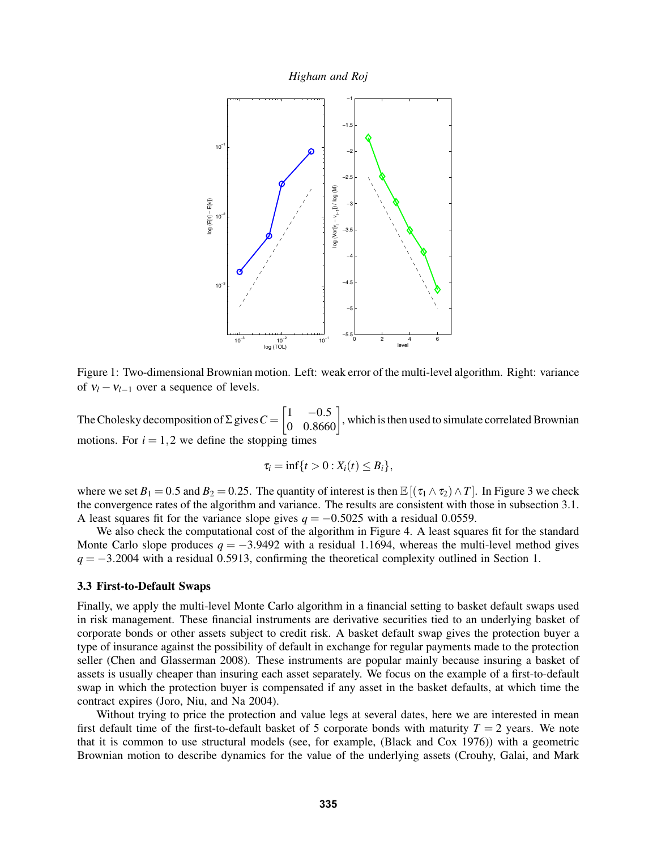*Higham and Roj*



Figure 1: Two-dimensional Brownian motion. Left: weak error of the multi-level algorithm. Right: variance of  $v_l - v_{l-1}$  over a sequence of levels.

The Cholesky decomposition of  $\Sigma$  gives  $C = \begin{bmatrix} 1 & -0.5 \\ 0 & 0.8660 \end{bmatrix}$ , which is then used to simulate correlated Brownian motions. For  $i = 1, 2$  we define the stopping times

$$
\tau_i = \inf\{t > 0 : X_i(t) \leq B_i\},\
$$

where we set  $B_1 = 0.5$  and  $B_2 = 0.25$ . The quantity of interest is then  $\mathbb{E}[(\tau_1 \wedge \tau_2) \wedge T]$ . In Figure 3 we check the convergence rates of the algorithm and variance. The results are consistent with those in subsection 3.1. A least squares fit for the variance slope gives  $q = -0.5025$  with a residual 0.0559.

We also check the computational cost of the algorithm in Figure 4. A least squares fit for the standard Monte Carlo slope produces  $q = -3.9492$  with a residual 1.1694, whereas the multi-level method gives  $q = -3.2004$  with a residual 0.5913, confirming the theoretical complexity outlined in Section 1.

### 3.3 First-to-Default Swaps

Finally, we apply the multi-level Monte Carlo algorithm in a financial setting to basket default swaps used in risk management. These financial instruments are derivative securities tied to an underlying basket of corporate bonds or other assets subject to credit risk. A basket default swap gives the protection buyer a type of insurance against the possibility of default in exchange for regular payments made to the protection seller (Chen and Glasserman 2008). These instruments are popular mainly because insuring a basket of assets is usually cheaper than insuring each asset separately. We focus on the example of a first-to-default swap in which the protection buyer is compensated if any asset in the basket defaults, at which time the contract expires (Joro, Niu, and Na 2004).

Without trying to price the protection and value legs at several dates, here we are interested in mean first default time of the first-to-default basket of 5 corporate bonds with maturity  $T = 2$  years. We note that it is common to use structural models (see, for example, (Black and Cox 1976)) with a geometric Brownian motion to describe dynamics for the value of the underlying assets (Crouhy, Galai, and Mark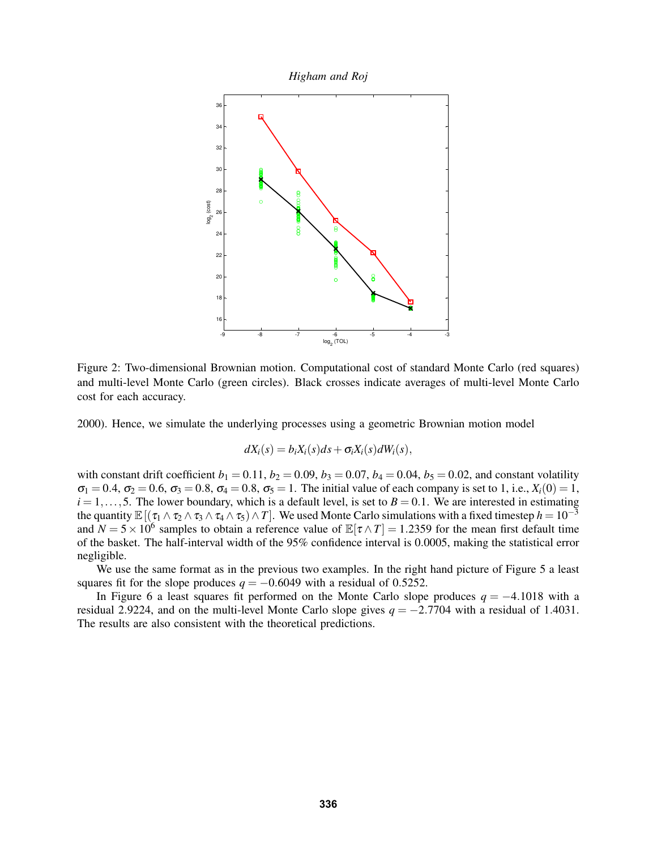



Figure 2: Two-dimensional Brownian motion. Computational cost of standard Monte Carlo (red squares) and multi-level Monte Carlo (green circles). Black crosses indicate averages of multi-level Monte Carlo cost for each accuracy.

2000). Hence, we simulate the underlying processes using a geometric Brownian motion model

$$
dX_i(s) = b_i X_i(s) ds + \sigma_i X_i(s) dW_i(s),
$$

with constant drift coefficient  $b_1 = 0.11$ ,  $b_2 = 0.09$ ,  $b_3 = 0.07$ ,  $b_4 = 0.04$ ,  $b_5 = 0.02$ , and constant volatility  $\sigma_1 = 0.4$ ,  $\sigma_2 = 0.6$ ,  $\sigma_3 = 0.8$ ,  $\sigma_4 = 0.8$ ,  $\sigma_5 = 1$ . The initial value of each company is set to 1, i.e.,  $X_i(0) = 1$ ,  $i = 1, \ldots, 5$ . The lower boundary, which is a default level, is set to  $B = 0.1$ . We are interested in estimating the quantity  $\mathbb{E}[(\tau_1 \wedge \tau_2 \wedge \tau_3 \wedge \tau_4 \wedge \tau_5) \wedge T]$ . We used Monte Carlo simulations with a fixed timestep  $h = 10^{-3}$ and  $N = 5 \times 10^6$  samples to obtain a reference value of  $\mathbb{E}[\tau \wedge T] = 1.2359$  for the mean first default time of the basket. The half-interval width of the 95% confidence interval is 0.0005, making the statistical error negligible.

We use the same format as in the previous two examples. In the right hand picture of Figure 5 a least squares fit for the slope produces  $q = -0.6049$  with a residual of 0.5252.

In Figure 6 a least squares fit performed on the Monte Carlo slope produces *q* = −4.1018 with a residual 2.9224, and on the multi-level Monte Carlo slope gives  $q = -2.7704$  with a residual of 1.4031. The results are also consistent with the theoretical predictions.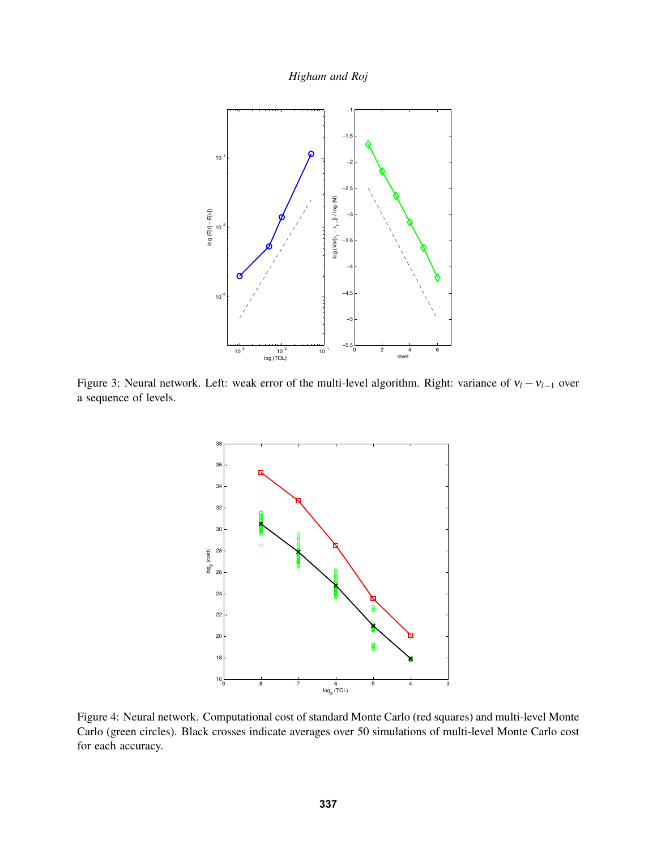

Figure 3: Neural network. Left: weak error of the multi-level algorithm. Right: variance of ν*<sup>l</sup>* −ν*l*−<sup>1</sup> over a sequence of levels.



Figure 4: Neural network. Computational cost of standard Monte Carlo (red squares) and multi-level Monte Carlo (green circles). Black crosses indicate averages over 50 simulations of multi-level Monte Carlo cost for each accuracy.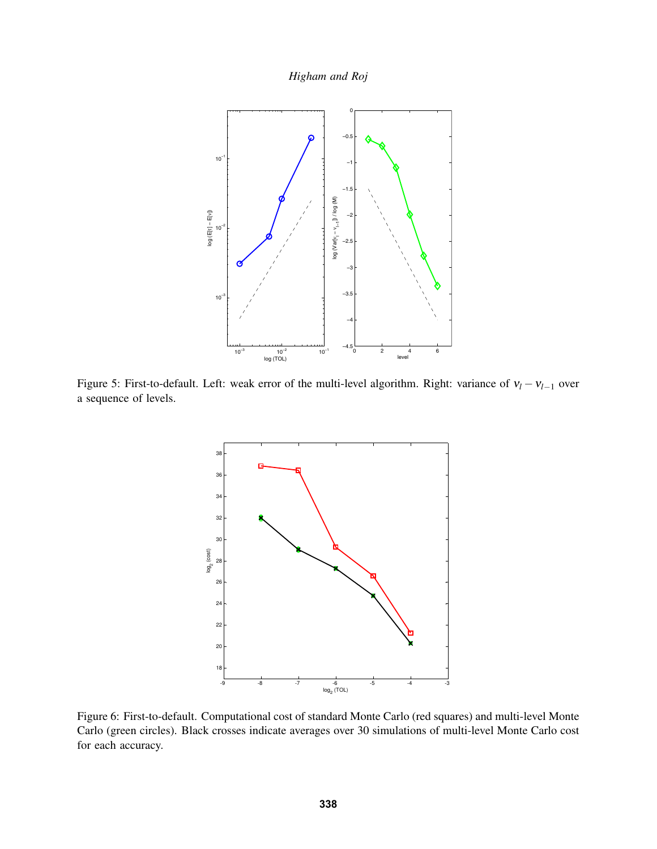*Higham and Roj*



Figure 5: First-to-default. Left: weak error of the multi-level algorithm. Right: variance of ν*<sup>l</sup>* −ν*l*−<sup>1</sup> over a sequence of levels.



Figure 6: First-to-default. Computational cost of standard Monte Carlo (red squares) and multi-level Monte Carlo (green circles). Black crosses indicate averages over 30 simulations of multi-level Monte Carlo cost for each accuracy.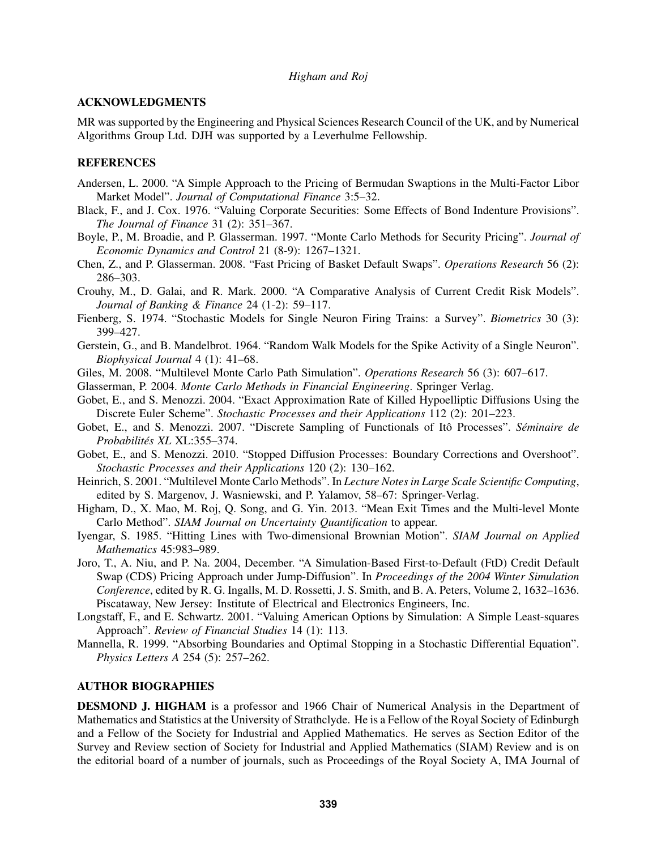## ACKNOWLEDGMENTS

MR was supported by the Engineering and Physical Sciences Research Council of the UK, and by Numerical Algorithms Group Ltd. DJH was supported by a Leverhulme Fellowship.

## REFERENCES

- Andersen, L. 2000. "A Simple Approach to the Pricing of Bermudan Swaptions in the Multi-Factor Libor Market Model". *Journal of Computational Finance* 3:5–32.
- Black, F., and J. Cox. 1976. "Valuing Corporate Securities: Some Effects of Bond Indenture Provisions". *The Journal of Finance* 31 (2): 351–367.
- Boyle, P., M. Broadie, and P. Glasserman. 1997. "Monte Carlo Methods for Security Pricing". *Journal of Economic Dynamics and Control* 21 (8-9): 1267–1321.
- Chen, Z., and P. Glasserman. 2008. "Fast Pricing of Basket Default Swaps". *Operations Research* 56 (2): 286–303.
- Crouhy, M., D. Galai, and R. Mark. 2000. "A Comparative Analysis of Current Credit Risk Models". *Journal of Banking & Finance* 24 (1-2): 59–117.
- Fienberg, S. 1974. "Stochastic Models for Single Neuron Firing Trains: a Survey". *Biometrics* 30 (3): 399–427.
- Gerstein, G., and B. Mandelbrot. 1964. "Random Walk Models for the Spike Activity of a Single Neuron". *Biophysical Journal* 4 (1): 41–68.
- Giles, M. 2008. "Multilevel Monte Carlo Path Simulation". *Operations Research* 56 (3): 607–617.
- Glasserman, P. 2004. *Monte Carlo Methods in Financial Engineering*. Springer Verlag.
- Gobet, E., and S. Menozzi. 2004. "Exact Approximation Rate of Killed Hypoelliptic Diffusions Using the Discrete Euler Scheme". *Stochastic Processes and their Applications* 112 (2): 201–223.
- Gobet, E., and S. Menozzi. 2007. "Discrete Sampling of Functionals of Itô Processes". *Séminaire de Probabilites XL ´* XL:355–374.
- Gobet, E., and S. Menozzi. 2010. "Stopped Diffusion Processes: Boundary Corrections and Overshoot". *Stochastic Processes and their Applications* 120 (2): 130–162.
- Heinrich, S. 2001. "Multilevel Monte Carlo Methods". In *Lecture Notes in Large Scale Scientific Computing*, edited by S. Margenov, J. Wasniewski, and P. Yalamov, 58–67: Springer-Verlag.
- Higham, D., X. Mao, M. Roj, Q. Song, and G. Yin. 2013. "Mean Exit Times and the Multi-level Monte Carlo Method". *SIAM Journal on Uncertainty Quantification* to appear.
- Iyengar, S. 1985. "Hitting Lines with Two-dimensional Brownian Motion". *SIAM Journal on Applied Mathematics* 45:983–989.
- Joro, T., A. Niu, and P. Na. 2004, December. "A Simulation-Based First-to-Default (FtD) Credit Default Swap (CDS) Pricing Approach under Jump-Diffusion". In *Proceedings of the 2004 Winter Simulation Conference*, edited by R. G. Ingalls, M. D. Rossetti, J. S. Smith, and B. A. Peters, Volume 2, 1632–1636. Piscataway, New Jersey: Institute of Electrical and Electronics Engineers, Inc.
- Longstaff, F., and E. Schwartz. 2001. "Valuing American Options by Simulation: A Simple Least-squares Approach". *Review of Financial Studies* 14 (1): 113.
- Mannella, R. 1999. "Absorbing Boundaries and Optimal Stopping in a Stochastic Differential Equation". *Physics Letters A* 254 (5): 257–262.

### AUTHOR BIOGRAPHIES

DESMOND J. HIGHAM is a professor and 1966 Chair of Numerical Analysis in the Department of Mathematics and Statistics at the University of Strathclyde. He is a Fellow of the Royal Society of Edinburgh and a Fellow of the Society for Industrial and Applied Mathematics. He serves as Section Editor of the Survey and Review section of Society for Industrial and Applied Mathematics (SIAM) Review and is on the editorial board of a number of journals, such as Proceedings of the Royal Society A, IMA Journal of